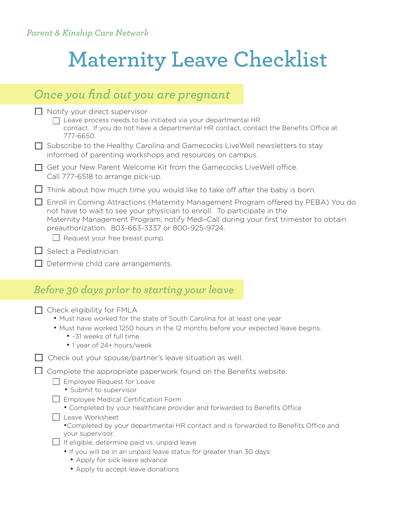## **Maternity Leave Checklist**

|                                                                                                                                                                                                            | Once you find out you are pregnant                                                                                                                                                                                                                                                                                                                                                                                                |  |  |
|------------------------------------------------------------------------------------------------------------------------------------------------------------------------------------------------------------|-----------------------------------------------------------------------------------------------------------------------------------------------------------------------------------------------------------------------------------------------------------------------------------------------------------------------------------------------------------------------------------------------------------------------------------|--|--|
| $\Box$ Notify your direct supervisor<br>Leave process needs to be initiated via your departmental HR<br>contact. If you do not have a departmental HR contact, contact the Benefits Office at<br>777-6650. |                                                                                                                                                                                                                                                                                                                                                                                                                                   |  |  |
|                                                                                                                                                                                                            | Subscribe to the Healthy Carolina and Gamecocks Live Well newsletters to stay<br>informed of parenting workshops and resources on campus.                                                                                                                                                                                                                                                                                         |  |  |
| $\perp$                                                                                                                                                                                                    | Get your New Parent Welcome Kit from the Gamecocks LiveWell office.<br>Call 777-6518 to arrange pick-up.                                                                                                                                                                                                                                                                                                                          |  |  |
|                                                                                                                                                                                                            | Think about how much time you would like to take off after the baby is born.                                                                                                                                                                                                                                                                                                                                                      |  |  |
|                                                                                                                                                                                                            | Enroll in Coming Attractions (Maternity Management Program offered by PEBA) You do<br>not have to wait to see your physician to enroll. To participate in the<br>Maternity Management Program, notify Medi-Call during your first trimester to obtain<br>preauthorization. 803-663-3337 or 800-925-9724.<br>$\Box$ Request your free breast pump.                                                                                 |  |  |
| $\Box$ Select a Pediatrician                                                                                                                                                                               |                                                                                                                                                                                                                                                                                                                                                                                                                                   |  |  |
|                                                                                                                                                                                                            | Determine child care arrangements.                                                                                                                                                                                                                                                                                                                                                                                                |  |  |
|                                                                                                                                                                                                            |                                                                                                                                                                                                                                                                                                                                                                                                                                   |  |  |
|                                                                                                                                                                                                            | Before 30 days prior to starting your leave                                                                                                                                                                                                                                                                                                                                                                                       |  |  |
|                                                                                                                                                                                                            | Check eligibility for FMLA<br>. Must have worked for the state of South Carolina for at least one year<br>. Must have worked 1250 hours in the 12 months before your expected leave begins.<br>• ~31 weeks of full time<br>• 1 year of 24+ hours/week                                                                                                                                                                             |  |  |
|                                                                                                                                                                                                            | Check out your spouse/partner's leave situation as well.                                                                                                                                                                                                                                                                                                                                                                          |  |  |
|                                                                                                                                                                                                            | Complete the appropriate paperwork found on the Benefits website.<br>Employee Request for Leave<br>• Submit to supervisor<br>Employee Medical Certification Form<br>• Completed by your healthcare provider and forwarded to Benefits Office<br>Leave Worksheet<br>• Completed by your departmental HR contact and is forwarded to Benefits Office and<br>your supervisor.<br>$\Box$ If eligible, determine paid vs. unpaid leave |  |  |

• Apply to accept leave donations